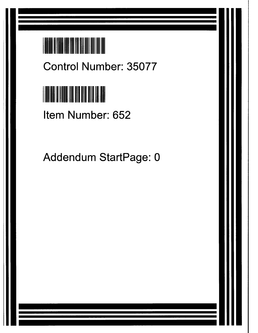

**Control Number**: **35077**



**Item Number**: **652**

Addendum StartPage: 0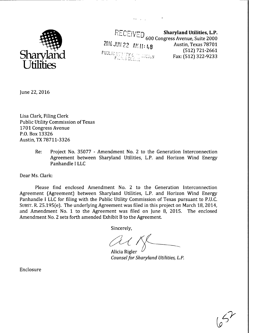

 $\mathsf{REF}\cup\mathsf{F}\cap$  Sharyland Utilities, L.P. 600 Congress Avenue, Suite 2000 2016 JUN 22 AM 11: LR Austin, Texas 78701 (512) 721-2661  $\mathsf{\textcolor{red}{\mathsf{P}}\mathsf{U}\mathsf{B}\mathsf{L}\mathsf{I}\mathsf{C}\mathsf{U}\mathsf{T}\mathsf{T}\mathsf{T}\mathsf{Y}\mathsf{C}\mathsf{T}\mathsf{C}\mathsf{A}\mathsf{J}\mathsf{S}\mathsf{U}\mathsf{A}\mathsf{H}}^{\mathsf{U}}_{\mathsf{F}\mathsf{L}\mathsf{V}\mathsf{A}\mathsf{S}\mathsf{C}\mathsf{L}\mathsf{B}\mathsf{H}\mathsf{A}}^{\mathsf{U}}$ Fax: (512) 322-9233

where the projection of

June 22, 2016

Lisa Clark, Filing Clerk Public Utility Commission of Texas 1701 Congress Avenue P.O. Box 13326 Austin, TX 78711-3326

> Re: Project No. 35077 - Amendment No. 2 to the Generation Interconnection Agreement between Sharyland Utilities, L.P. and Horizon Wind Energy Panhandle I LLC

Dear Ms. Clark:

Please find enclosed Amendment No. 2 to the Generation Interconnection Agreement (Agreement) between Sharyland Utilities, L.P. and Horizon Wind Energy Panhandle I LLC for filing with the Public Utility Commission of Texas pursuant to P.U.C. SUBST. R. 25.195(e). The underlying Agreement was filed in this project on March 18, 2014, and Amendment No. 1 to the Agreement was filed on June 8, 2015. The enclosed Amendment No. 2 sets forth amended Exhibit B to the Agreement.

Sincerely,

--------^

Alicia Rigler *Counsel for Sharyland Utilities, L.P.*

 $\sqrt{2}$ 

Enclosure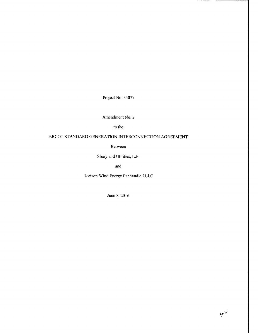Project No. 35077

**Amendment No. 2**

**to the**

# ERCOT STANDARD GENERATION INTERCONNECTION AGREEMENT

Between

Sharyland Utilities, L.P.

and

Horizon Wind Energy Panhandle I LLC

June \$, 20 16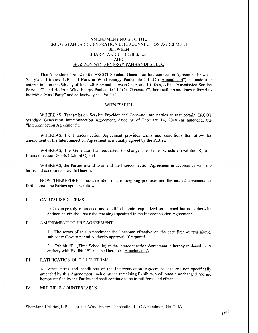## AMENDMENT NO. 2 TO THE ERCOT STANDARD GENERATION INTERCONNECTION AGREEMENT BETWEEN SHARYLAND UTILITIES, L.P. AND HORIZON WIND ENERGY PANHANDLE I LLC

This Amendment No. 2 to the ERCOT Standard Generation Interconnection Agreement between Sharyland Utilities, L.P. and Horizon Wind Energy Panhandle I LLC ("Amendment") is made and entered into on this 8th day of June, 2016 by and between Sharyland Utilities, L.P ("Transmission Service Provider"), and Horizon Wind Energy Panhandle I LLC ("Generator"), hereinafter sometimes referred to individually as "Party" and collectively as "Parties."

#### WITNESSETH

WHEREAS, Transmission Service Provider and Generator are parties to that certain ERCOT Standard Generation Interconnection Agreement, dated as of February 14, 2014 (as amended, the "Interconnection Agreement");

WHEREAS, the Interconnection Agreement provides terms and conditions that allow for amendment of the Interconnection Agreement as mutually agreed by the Parties;

WHEREAS, the Generator has requested to change the Time Schedule (Exhibit B) and Interconnection Details (Exhibit C) and

WHEREAS, the Parties intend to amend the Interconnection Agreement in accordance with the terms and conditions provided herein.

NOW, THEREFORE, in consideration of the foregoing premises and the mutual covenants set forth herein, the Parties agree as follows:

#### $\overline{I}$ . CAPITALIZED TERMS

Unless expressly referenced and modified herein, capitalized terms used but not otherwise defined herein shall have the meanings specified in the Interconnection Agreement.

### II. AMENDMENT TO THE AGREEMENT

1. The terms of this Amendment shall become effective on the date first written above, subject to Governmental Authority approval, if required.

2. Exhibit "B" (Time Schedule) to the Interconnection Agreement is hereby replaced in its entirety with Exhibit "B" attached hereto as Attachment A.

#### III. RATIFICATION OF OTHER TERMS

All other terms and conditions of the Interconnection Agreement that are not specifically amended by this Amendment, including the remaining Exhibits, shall remain unchanged and are hereby ratified by the Parties and shall continue to be in full force and effect.

#### [V. MULTIPLE COUNTERPARTS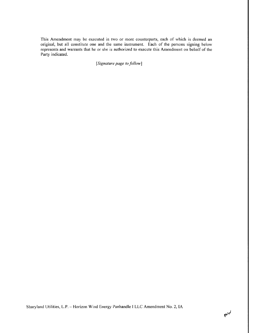This Amendment may be executed in two or more counterparts, each of which is deemed an original, but all constitute one and the same instrument. Each of the persons signing below represents and warrants that he or she is authorized to execute this Amendment on behalf of the Party indicated.

*[Signature pqge to follow]*

Sharyland Utilities, L.P. - **Horizon** Wind Energy **Panhandle** <sup>I</sup> LLC Amendment No. 2, IA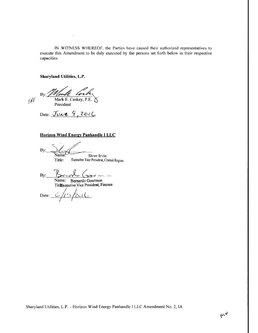IN WITNESS WHEREOF, the Parties have caused their authorized representatives to execute this Amendment to be duly executed by the persons set forth below in their respective capacities.

# **Sharyland** Utilities, L.P.

 $By: Z$ Noull Corte  $\mathbb{R}^p$ 

President

Date:  $Jvxe$  9, 2016

# **Horizon Wind Energy Panhandle I LLC**

By:

Name. Steve Irvin<br>Title: Executive Vice President, Ce Executive Vice President, Central Region

By: **John Marshall** Name: **Bernardo Goarmon**

TitlExecutive Vice President, **Finance**

Date:  $6/15/2016$